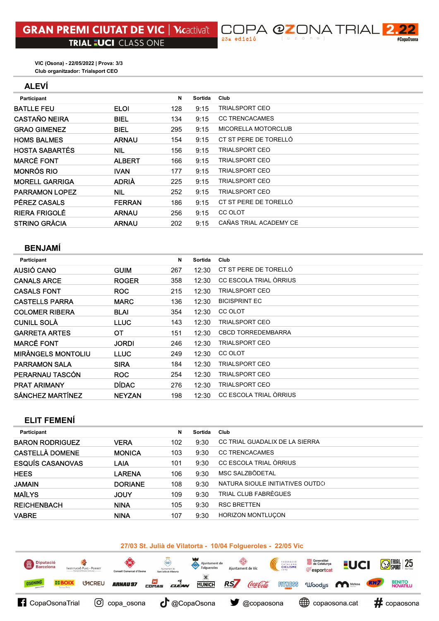**JPA @ZONA TRIAL**  $\overline{\mathbf{2}}$ #CopaOsona

Club organitzador: Trialsport CEO VIC (Osona) - 22/05/2022 | Prova: 3/3

## ALEVÍ

| Participant           |               | N   | Sortida | Club                   |
|-----------------------|---------------|-----|---------|------------------------|
| <b>BATLLE FEU</b>     | <b>ELOI</b>   | 128 | 9:15    | <b>TRIALSPORT CEO</b>  |
| <b>CASTAÑO NEIRA</b>  | <b>BIEL</b>   | 134 | 9:15    | <b>CC TRENCACAMES</b>  |
| <b>GRAO GIMENEZ</b>   | <b>BIEL</b>   | 295 | 9:15    | MICORELLA MOTORCLUB    |
| <b>HOMS BALMES</b>    | <b>ARNAU</b>  | 154 | 9:15    | CT ST PERE DE TORELLÓ  |
| <b>HOSTA SABARTÉS</b> | <b>NIL</b>    | 156 | 9:15    | <b>TRIALSPORT CEO</b>  |
| <b>MARCÉ FONT</b>     | <b>ALBERT</b> | 166 | 9:15    | <b>TRIALSPORT CEO</b>  |
| <b>MONRÓS RIO</b>     | <b>IVAN</b>   | 177 | 9:15    | TRIALSPORT CEO         |
| <b>MORELL GARRIGA</b> | <b>ADRIÀ</b>  | 225 | 9:15    | <b>TRIALSPORT CEO</b>  |
| <b>PARRAMON LOPEZ</b> | NIL           | 252 | 9:15    | <b>TRIALSPORT CEO</b>  |
| <b>PÉREZ CASALS</b>   | <b>FERRAN</b> | 186 | 9:15    | CT ST PERE DE TORELLÓ  |
| <b>RIERA FRIGOLÉ</b>  | <b>ARNAU</b>  | 256 | 9:15    | CC OLOT                |
| <b>STRINO GRÀCIA</b>  | <b>ARNAU</b>  | 202 | 9:15    | CAÑAS TRIAL ACADEMY CE |
|                       |               |     |         |                        |

 $\Box$ 23a edició

# BENJAMÍ

| Participant               |               | N   | Sortida | Club                      |
|---------------------------|---------------|-----|---------|---------------------------|
| AUSIÓ CANO                | <b>GUIM</b>   | 267 | 12:30   | CT ST PERE DE TORELLÓ     |
| <b>CANALS ARCE</b>        | <b>ROGER</b>  | 358 | 12:30   | CC ESCOLA TRIAL ÒRRIUS    |
| <b>CASALS FONT</b>        | <b>ROC</b>    | 215 | 12:30   | <b>TRIALSPORT CEO</b>     |
| <b>CASTELLS PARRA</b>     | <b>MARC</b>   | 136 | 12:30   | <b>BICISPRINT EC</b>      |
| <b>COLOMER RIBERA</b>     | <b>BLAI</b>   | 354 | 12:30   | CC OLOT                   |
| <b>CUNILL SOLA</b>        | <b>LLUC</b>   | 143 | 12:30   | <b>TRIALSPORT CEO</b>     |
| <b>GARRETA ARTES</b>      | ОT            | 151 | 12:30   | <b>CBCD TORREDEMBARRA</b> |
| <b>MARCÉ FONT</b>         | <b>JORDI</b>  | 246 | 12:30   | <b>TRIALSPORT CEO</b>     |
| <b>MIRÀNGELS MONTOLIU</b> | <b>LLUC</b>   | 249 | 12:30   | CC OLOT                   |
| <b>PARRAMON SALA</b>      | <b>SIRA</b>   | 184 | 12:30   | <b>TRIALSPORT CEO</b>     |
| PERARNAU TASCÓN           | <b>ROC</b>    | 254 | 12:30   | <b>TRIALSPORT CEO</b>     |
| <b>PRAT ARIMANY</b>       | <b>DÍDAC</b>  | 276 | 12:30   | <b>TRIALSPORT CEO</b>     |
| <b>SÁNCHEZ MARTÍNEZ</b>   | <b>NEYZAN</b> | 198 | 12:30   | CC ESCOLA TRIAL ORRIUS    |

## ELIT FEMENÍ

| Participant             |                | N   | Sortida | Club                            |
|-------------------------|----------------|-----|---------|---------------------------------|
| <b>BARON RODRIGUEZ</b>  | <b>VERA</b>    | 102 | 9:30    | CC TRIAL GUADALIX DE LA SIERRA  |
| <b>CASTELLÀ DOMENE</b>  | <b>MONICA</b>  | 103 | 9:30    | <b>CC TRENCACAMES</b>           |
| <b>ESQUÍS CASANOVAS</b> | LAIA           | 101 | 9:30    | CC ESCOLA TRIAL ÒRRIUS          |
| <b>HEES</b>             | LARENA         | 106 | 9:30    | MSC SALZBÖDETAL                 |
| <b>JAMAIN</b>           | <b>DORIANE</b> | 108 | 9:30    | NATURA SIOULE INITIATIVES OUTDO |
| <b>MAÏLYS</b>           | JOUY           | 109 | 9:30    | TRIAL CLUB FABRÈGUES            |
| <b>REICHENBACH</b>      | <b>NINA</b>    | 105 | 9:30    | <b>RSC BRETTEN</b>              |
| <b>VABRE</b>            | <b>NINA</b>    | 107 | 9:30    | <b>HORIZON MONTLUCON</b>        |

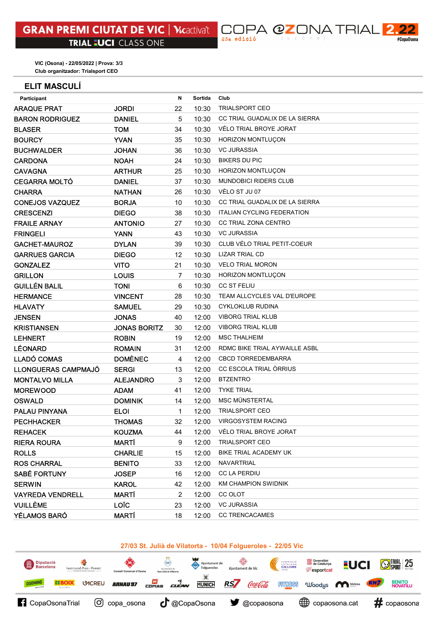### ELIT MASCULÍ

| Participant             |                     | N  | Sortida | Club                              |
|-------------------------|---------------------|----|---------|-----------------------------------|
| <b>ARAQUE PRAT</b>      | <b>JORDI</b>        | 22 | 10:30   | <b>TRIALSPORT CEO</b>             |
| <b>BARON RODRIGUEZ</b>  | <b>DANIEL</b>       | 5  | 10:30   | CC TRIAL GUADALIX DE LA SIERRA    |
| <b>BLASER</b>           | <b>TOM</b>          | 34 | 10:30   | VÉLO TRIAL BROYE JORAT            |
| <b>BOURCY</b>           | <b>YVAN</b>         | 35 | 10:30   | HORIZON MONTLUÇON                 |
| <b>BUCHWALDER</b>       | <b>JOHAN</b>        | 36 | 10:30   | <b>VC JURASSIA</b>                |
| <b>CARDONA</b>          | <b>NOAH</b>         | 24 | 10:30   | <b>BIKERS DU PIC</b>              |
| <b>CAVAGNA</b>          | <b>ARTHUR</b>       | 25 | 10:30   | <b>HORIZON MONTLUÇON</b>          |
| <b>CEGARRA MOLTÓ</b>    | <b>DANIEL</b>       | 37 | 10:30   | <b>MUNDOBICI RIDERS CLUB</b>      |
| <b>CHARRA</b>           | <b>NATHAN</b>       | 26 | 10:30   | VÉLO ST JU 07                     |
| <b>CONEJOS VAZQUEZ</b>  | <b>BORJA</b>        | 10 | 10:30   | CC TRIAL GUADALIX DE LA SIERRA    |
| <b>CRESCENZI</b>        | <b>DIEGO</b>        | 38 | 10:30   | <b>ITALIAN CYCLING FEDERATION</b> |
| <b>FRAILE ARNAY</b>     | <b>ANTONIO</b>      | 27 | 10:30   | <b>CC TRIAL ZONA CENTRO</b>       |
| <b>FRINGELI</b>         | <b>YANN</b>         | 43 | 10:30   | <b>VC JURASSIA</b>                |
| <b>GACHET-MAUROZ</b>    | <b>DYLAN</b>        | 39 | 10:30   | CLUB VÉLO TRIAL PETIT-COEUR       |
| <b>GARRUES GARCIA</b>   | <b>DIEGO</b>        | 12 | 10:30   | <b>LIZAR TRIAL CD</b>             |
| <b>GONZALEZ</b>         | <b>VITO</b>         | 21 | 10:30   | <b>VELO TRIAL MORON</b>           |
| <b>GRILLON</b>          | <b>LOUIS</b>        | 7  | 10:30   | HORIZON MONTLUÇON                 |
| <b>GUILLÉN BALIL</b>    | <b>TONI</b>         | 6  | 10:30   | <b>CC ST FELIU</b>                |
| <b>HERMANCE</b>         | <b>VINCENT</b>      | 28 | 10:30   | TEAM ALLCYCLES VAL D'EUROPE       |
| <b>HLAVATY</b>          | <b>SAMUEL</b>       | 29 | 10:30   | <b>CYKLOKLUB RUDINA</b>           |
| <b>JENSEN</b>           | <b>JONAS</b>        | 40 | 12:00   | <b>VIBORG TRIAL KLUB</b>          |
| <b>KRISTIANSEN</b>      | <b>JONAS BORITZ</b> | 30 | 12:00   | <b>VIBORG TRIAL KLUB</b>          |
| <b>LEHNERT</b>          | <b>ROBIN</b>        | 19 | 12:00   | <b>MSC THALHEIM</b>               |
| <b>LÉONARD</b>          | <b>ROMAIN</b>       | 31 | 12:00   | RDMC BIKE TRIAL AYWAILLE ASBL     |
| <b>LLADÓ COMAS</b>      | <b>DOMÈNEC</b>      | 4  | 12:00   | <b>CBCD TORREDEMBARRA</b>         |
| LLONGUERAS CAMPMAJÓ     | <b>SERGI</b>        | 13 | 12:00   | CC ESCOLA TRIAL ORRIUS            |
| <b>MONTALVO MILLA</b>   | <b>ALEJANDRO</b>    | 3  | 12:00   | <b>BTZENTRO</b>                   |
| <b>MOREWOOD</b>         | <b>ADAM</b>         | 41 | 12:00   | <b>TYKE TRIAL</b>                 |
| <b>OSWALD</b>           | <b>DOMINIK</b>      | 14 | 12:00   | <b>MSC MÜNSTERTAL</b>             |
| <b>PALAU PINYANA</b>    | <b>ELOI</b>         | 1  | 12:00   | <b>TRIALSPORT CEO</b>             |
| <b>PECHHACKER</b>       | <b>THOMAS</b>       | 32 | 12:00   | <b>VIRGOSYSTEM RACING</b>         |
| <b>REHACEK</b>          | <b>KOUZMA</b>       | 44 | 12:00   | VÉLO TRIAL BROYE JORAT            |
| <b>RIERA ROURA</b>      | MARTÍ               | 9  | 12:00   | <b>TRIALSPORT CEO</b>             |
| <b>ROLLS</b>            | <b>CHARLIE</b>      | 15 | 12:00   | BIKE TRIAL ACADEMY UK             |
| <b>ROS CHARRAL</b>      | <b>BENITO</b>       | 33 | 12:00   | NAVARTRIAL                        |
| <b>SABÉ FORTUNY</b>     | <b>JOSEP</b>        | 16 | 12:00   | <b>CC LA PERDIU</b>               |
| <b>SERWIN</b>           | <b>KAROL</b>        | 42 | 12:00   | <b>KM CHAMPION SWIDNIK</b>        |
| <b>VAYREDA VENDRELL</b> | MARTÍ               | 2  | 12:00   | CC OLOT                           |
| <b>VUILLÈME</b>         | <b>LOIC</b>         | 23 | 12:00   | <b>VC JURASSIA</b>                |
| <b>YÉLAMOS BARÓ</b>     | <b>MARTÍ</b>        | 18 | 12:00   | <b>CC TRENCACAMES</b>             |

C( 23a edició

DPA @ZONA TRIAL

 $\mathbf 2$ 

#CopaOsona

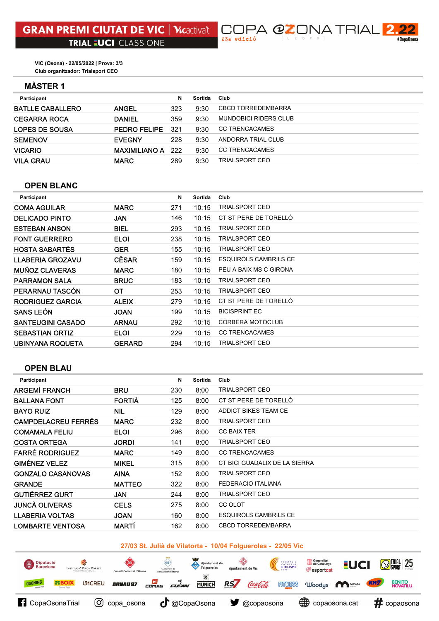## MÀSTER 1

| Participant             |                      | N   | Sortida | Club                         |
|-------------------------|----------------------|-----|---------|------------------------------|
| <b>BATLLE CABALLERO</b> | <b>ANGEL</b>         | 323 | 9:30    | <b>CBCD TORREDEMBARRA</b>    |
| <b>CEGARRA ROCA</b>     | <b>DANIEL</b>        | 359 | 9:30    | <b>MUNDOBICI RIDERS CLUB</b> |
| LOPES DE SOUSA          | <b>PEDRO FELIPE</b>  | 321 | 9:30    | <b>CC TRENCACAMES</b>        |
| <b>SEMENOV</b>          | <b>EVEGNY</b>        | 228 | 9:30    | ANDORRA TRIAL CLUB           |
| <b>VICARIO</b>          | <b>MAXIMILIANO A</b> | 222 | 9:30    | CC TRENCACAMES               |
| <b>VILA GRAU</b>        | <b>MARC</b>          | 289 | 9:30    | TRIALSPORT CEO               |
|                         |                      |     |         |                              |

 $\Box$ 23a edició

DPA @ZONA TRIAL

 $\mathbf{2}$ 

#CopaOsona

### OPEN BLANC

| Participant              |               | N   | Sortida | Club                         |
|--------------------------|---------------|-----|---------|------------------------------|
| <b>COMA AGUILAR</b>      | <b>MARC</b>   | 271 | 10:15   | <b>TRIALSPORT CEO</b>        |
| <b>DELICADO PINTO</b>    | JAN           | 146 | 10:15   | CT ST PERE DE TORELLÓ        |
| <b>ESTEBAN ANSON</b>     | <b>BIEL</b>   | 293 | 10:15   | <b>TRIALSPORT CEO</b>        |
| <b>FONT GUERRERO</b>     | <b>ELOI</b>   | 238 | 10:15   | <b>TRIALSPORT CEO</b>        |
| <b>HOSTA SABARTES</b>    | <b>GER</b>    | 155 | 10:15   | <b>TRIALSPORT CEO</b>        |
| <b>LLABERIA GROZAVU</b>  | <b>CÈSAR</b>  | 159 | 10:15   | <b>ESQUIROLS CAMBRILS CE</b> |
| <b>MUÑOZ CLAVERAS</b>    | <b>MARC</b>   | 180 | 10:15   | PEU A BAIX MS C GIRONA       |
| <b>PARRAMON SALA</b>     | <b>BRUC</b>   | 183 | 10:15   | <b>TRIALSPORT CEO</b>        |
| PERARNAU TASCÓN          | ОT            | 253 | 10:15   | <b>TRIALSPORT CEO</b>        |
| <b>RODRIGUEZ GARCIA</b>  | <b>ALEIX</b>  | 279 | 10:15   | CT ST PERE DE TORELLÓ        |
| <b>SANS LEON</b>         | <b>JOAN</b>   | 199 | 10:15   | <b>BICISPRINT EC</b>         |
| <b>SANTEUGINI CASADO</b> | <b>ARNAU</b>  | 292 | 10:15   | CORBERA MOTOCLUB             |
| <b>SEBASTIAN ORTIZ</b>   | <b>ELOI</b>   | 229 | 10:15   | <b>CC TRENCACAMES</b>        |
| UBINYANA ROQUETA         | <b>GERARD</b> | 294 | 10:15   | <b>TRIALSPORT CEO</b>        |

# OPEN BLAU

| Participant                |               | N   | Sortida | Club                          |
|----------------------------|---------------|-----|---------|-------------------------------|
| <b>ARGEMÍ FRANCH</b>       | <b>BRU</b>    | 230 | 8:00    | <b>TRIALSPORT CEO</b>         |
| <b>BALLANA FONT</b>        | <b>FORTIA</b> | 125 | 8:00    | CT ST PERE DE TORELLÓ         |
| <b>BAYO RUIZ</b>           | <b>NIL</b>    | 129 | 8:00    | ADDICT BIKES TEAM CE          |
| <b>CAMPDELACREU FERRÉS</b> | <b>MARC</b>   | 232 | 8:00    | <b>TRIALSPORT CEO</b>         |
| <b>COMAMALA FELIU</b>      | <b>ELOI</b>   | 296 | 8:00    | <b>CC BAIX TER</b>            |
| <b>COSTA ORTEGA</b>        | <b>JORDI</b>  | 141 | 8:00    | <b>TRIALSPORT CEO</b>         |
| <b>FARRÉ RODRIGUEZ</b>     | <b>MARC</b>   | 149 | 8:00    | <b>CC TRENCACAMES</b>         |
| <b>GIMÉNEZ VELEZ</b>       | <b>MIKEL</b>  | 315 | 8:00    | CT BICI GUADALIX DE LA SIERRA |
| <b>GONZALO CASANOVAS</b>   | <b>AINA</b>   | 152 | 8:00    | <b>TRIALSPORT CEO</b>         |
| <b>GRANDE</b>              | <b>MATTEO</b> | 322 | 8:00    | <b>FEDERACIO ITALIANA</b>     |
| <b>GUTIÉRREZ GURT</b>      | <b>JAN</b>    | 244 | 8:00    | <b>TRIALSPORT CEO</b>         |
| <b>JUNCÀ OLIVERAS</b>      | <b>CELS</b>   | 275 | 8:00    | CC OLOT                       |
| <b>LLABERIA VOLTAS</b>     | <b>JOAN</b>   | 160 | 8:00    | <b>ESQUIROLS CAMBRILS CE</b>  |
| <b>LOMBARTE VENTOSA</b>    | <b>MARTÍ</b>  | 162 | 8:00    | <b>CBCD TORREDEMBARRA</b>     |
|                            |               |     |         |                               |

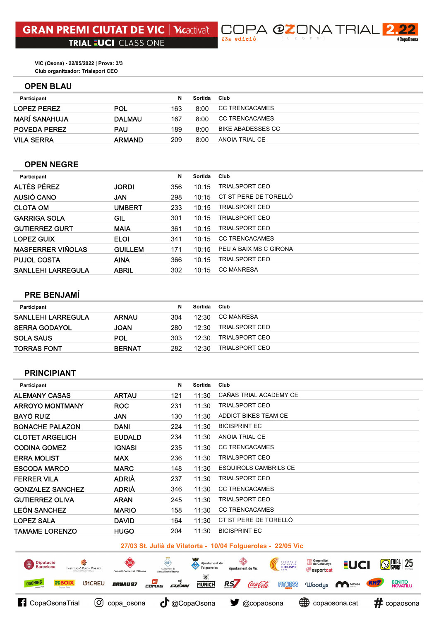#### OPEN BLAU

| Participant          |               | N   | Sortida | Club                  |
|----------------------|---------------|-----|---------|-----------------------|
| LOPEZ PEREZ          | <b>POL</b>    | 163 | 8:00    | <b>CC TRENCACAMES</b> |
| <b>MARÍ SANAHUJA</b> | <b>DALMAU</b> | 167 | 8:00    | <b>CC TRENCACAMES</b> |
| <b>POVEDA PEREZ</b>  | <b>PAU</b>    | 189 | 8:00    | BIKE ABADESSES CC     |
| <b>VILA SERRA</b>    | ARMAND        | 209 | 8:00    | ANOIA TRIAL CE        |

 $\Box$ 23a edició

### OPEN NEGRE

| Participant               |                | N   | Sortida | Club                   |
|---------------------------|----------------|-----|---------|------------------------|
| <b>ALTÉS PÉREZ</b>        | <b>JORDI</b>   | 356 | 10:15   | <b>TRIALSPORT CEO</b>  |
| AUSIÓ CANO                | <b>JAN</b>     | 298 | 10:15   | CT ST PERE DE TORELLÓ  |
| <b>CLOTA OM</b>           | <b>UMBERT</b>  | 233 | 10:15   | <b>TRIALSPORT CEO</b>  |
| <b>GARRIGA SOLA</b>       | GIL            | 301 | 10:15   | <b>TRIALSPORT CEO</b>  |
| <b>GUTIERREZ GURT</b>     | <b>MAIA</b>    | 361 | 10:15   | <b>TRIALSPORT CEO</b>  |
| <b>LOPEZ GUIX</b>         | <b>ELOI</b>    | 341 | 10:15   | <b>CC TRENCACAMES</b>  |
| <b>MASFERRER VIÑOLAS</b>  | <b>GUILLEM</b> | 171 | 10:15   | PEU A BAIX MS C GIRONA |
| <b>PUJOL COSTA</b>        | <b>AINA</b>    | 366 | 10:15   | <b>TRIALSPORT CEO</b>  |
| <b>SANLLEHI LARREGULA</b> | <b>ABRIL</b>   | 302 | 10:15   | <b>CC MANRESA</b>      |
|                           |                |     |         |                        |

## PRE BENJAMÍ

| Participant               |               | N.  | Sortida | Club           |
|---------------------------|---------------|-----|---------|----------------|
| <b>SANLLEHI LARREGULA</b> | <b>ARNAU</b>  | 304 | 12:30   | CC MANRESA     |
| <b>SERRA GODAYOL</b>      | JOAN          | 280 | 12:30   | TRIALSPORT CEO |
| <b>SOLA SAUS</b>          | <b>POL</b>    | 303 | 12:30   | TRIALSPORT CEO |
| <b>TORRAS FONT</b>        | <b>BERNAT</b> | 282 | 12:30   | TRIALSPORT CEO |

#### PRINCIPIANT

| Participant             |               | N   | Sortida | Club                         |
|-------------------------|---------------|-----|---------|------------------------------|
| <b>ALEMANY CASAS</b>    | <b>ARTAU</b>  | 121 | 11:30   | CAÑAS TRIAL ACADEMY CE       |
| <b>ARROYO MONTMANY</b>  | <b>ROC</b>    | 231 | 11:30   | <b>TRIALSPORT CEO</b>        |
| <b>BAYÓ RUIZ</b>        | <b>JAN</b>    | 130 | 11:30   | ADDICT BIKES TEAM CE         |
| <b>BONACHE PALAZON</b>  | <b>DANI</b>   | 224 | 11:30   | <b>BICISPRINT EC</b>         |
| <b>CLOTET ARGELICH</b>  | <b>EUDALD</b> | 234 | 11:30   | ANOIA TRIAL CE               |
| <b>CODINA GOMEZ</b>     | <b>IGNASI</b> | 235 | 11:30   | <b>CC TRENCACAMES</b>        |
| <b>ERRA MOLIST</b>      | <b>MAX</b>    | 236 | 11:30   | <b>TRIALSPORT CEO</b>        |
| <b>ESCODA MARCO</b>     | <b>MARC</b>   | 148 | 11:30   | <b>ESQUIROLS CAMBRILS CE</b> |
| <b>FERRER VILA</b>      | <b>ADRIÀ</b>  | 237 | 11:30   | <b>TRIALSPORT CEO</b>        |
| <b>GONZALEZ SANCHEZ</b> | <b>ADRIÀ</b>  | 346 | 11:30   | <b>CC TRENCACAMES</b>        |
| <b>GUTIERREZ OLIVA</b>  | <b>ARAN</b>   | 245 | 11:30   | <b>TRIALSPORT CEO</b>        |
| <b>LEÓN SANCHEZ</b>     | <b>MARIO</b>  | 158 | 11:30   | <b>CC TRENCACAMES</b>        |
| <b>LOPEZ SALA</b>       | <b>DAVID</b>  | 164 | 11:30   | CT ST PERE DE TORELLÓ        |
| <b>TAMAME LORENZO</b>   | <b>HUGO</b>   | 204 | 11:30   | <b>BICISPRINT EC</b>         |
|                         |               |     |         |                              |

## 27/03 St. Julià de Vilatorta - 10/04 Folgueroles - 22/05 Vic





JPA @ZONA TRIAL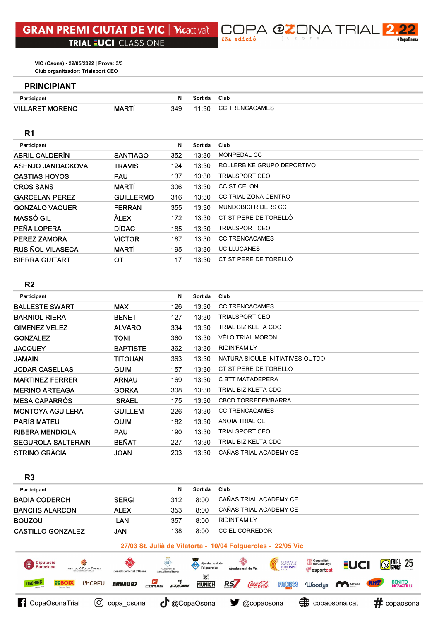

#### PRINCIPIANT

| <b>Participant</b>     |              |     | Sortida | Club           |
|------------------------|--------------|-----|---------|----------------|
| <b>VILLARET MORENO</b> | <b>MARTI</b> | 349 | 11:30   | CC TRENCACAMES |

## R1

| Participant             |                  | N   | Sortida | Club                       |
|-------------------------|------------------|-----|---------|----------------------------|
| <b>ABRIL CALDERÍN</b>   | <b>SANTIAGO</b>  | 352 | 13:30   | MONPEDAL CC                |
| ASENJO JANDACKOVA       | <b>TRAVIS</b>    | 124 | 13:30   | ROLLERBIKE GRUPO DEPORTIVO |
| <b>CASTIAS HOYOS</b>    | <b>PAU</b>       | 137 | 13:30   | <b>TRIALSPORT CEO</b>      |
| <b>CROS SANS</b>        | <b>MARTI</b>     | 306 | 13:30   | <b>CC ST CELONI</b>        |
| <b>GARCELAN PEREZ</b>   | <b>GUILLERMO</b> | 316 | 13:30   | CC TRIAL ZONA CENTRO       |
| <b>GONZALO VAQUER</b>   | <b>FERRAN</b>    | 355 | 13:30   | <b>MUNDOBICI RIDERS CC</b> |
| <b>MASSÓ GIL</b>        | <b>ALEX</b>      | 172 | 13:30   | CT ST PERE DE TORELLÓ      |
| PEÑA LOPERA             | <b>DÍDAC</b>     | 185 | 13:30   | <b>TRIALSPORT CEO</b>      |
| <b>PEREZ ZAMORA</b>     | <b>VICTOR</b>    | 187 | 13:30   | <b>CC TRENCACAMES</b>      |
| <b>RUSIÑOL VILASECA</b> | <b>MARTÍ</b>     | 195 | 13:30   | UC LLUCANÈS                |
| <b>SIERRA GUITART</b>   | ОT               | 17  | 13:30   | CT ST PERE DE TORELLÓ      |

# R2

| Participant               |                 | N   | Sortida | Club                            |
|---------------------------|-----------------|-----|---------|---------------------------------|
| <b>BALLESTE SWART</b>     | <b>MAX</b>      | 126 | 13:30   | <b>CC TRENCACAMES</b>           |
| <b>BARNIOL RIERA</b>      | <b>BENET</b>    | 127 | 13:30   | <b>TRIALSPORT CEO</b>           |
| <b>GIMENEZ VELEZ</b>      | <b>ALVARO</b>   | 334 | 13:30   | TRIAL BIZIKLETA CDC             |
| <b>GONZALEZ</b>           | <b>TONI</b>     | 360 | 13:30   | VÉLO TRIAL MORON                |
| JACQUEY                   | <b>BAPTISTE</b> | 362 | 13:30   | <b>RIDIN'FAMILY</b>             |
| JAMAIN                    | <b>TITOUAN</b>  | 363 | 13:30   | NATURA SIOULE INITIATIVES OUTDO |
| <b>JODAR CASELLAS</b>     | <b>GUIM</b>     | 157 | 13:30   | CT ST PERE DE TORELLÓ           |
| <b>MARTINEZ FERRER</b>    | <b>ARNAU</b>    | 169 | 13:30   | C BTT MATADEPERA                |
| <b>MERINO ARTEAGA</b>     | <b>GORKA</b>    | 308 | 13:30   | TRIAL BIZIKLETA CDC             |
| <b>MESA CAPARRÓS</b>      | <b>ISRAEL</b>   | 175 | 13:30   | <b>CBCD TORREDEMBARRA</b>       |
| <b>MONTOYA AGUILERA</b>   | <b>GUILLEM</b>  | 226 | 13:30   | <b>CC TRENCACAMES</b>           |
| <b>PARÍS MATEU</b>        | <b>QUIM</b>     | 182 | 13:30   | ANOIA TRIAL CE                  |
| <b>RIBERA MENDIOLA</b>    | <b>PAU</b>      | 190 | 13:30   | <b>TRIALSPORT CEO</b>           |
| <b>SEGUROLA SALTERAIN</b> | <b>BEÑAT</b>    | 227 | 13:30   | TRIAL BIZIKELTA CDC             |
| STRINO GRÀCIA             | <b>JOAN</b>     | 203 | 13:30   | CAÑAS TRIAL ACADEMY CE          |

| R <sub>3</sub>                                               |              |     |         |                        |  |  |
|--------------------------------------------------------------|--------------|-----|---------|------------------------|--|--|
| Participant                                                  |              | N   | Sortida | Club                   |  |  |
| <b>BADIA CODERCH</b>                                         | <b>SERGI</b> | 312 | 8:00    | CAÑAS TRIAL ACADEMY CE |  |  |
| <b>BANCHS ALARCON</b>                                        | <b>ALEX</b>  | 353 | 8:00    | CAÑAS TRIAL ACADEMY CE |  |  |
| <b>BOUZOU</b>                                                | <b>ILAN</b>  | 357 | 8:00    | <b>RIDIN'FAMILY</b>    |  |  |
| <b>CASTILLO GONZALEZ</b>                                     | <b>JAN</b>   | 138 | 8:00    | CC EL CORREDOR         |  |  |
| 27/03 St. Julià de Vilatorta - 10/04 Folgueroles - 22/05 Vic |              |     |         |                        |  |  |